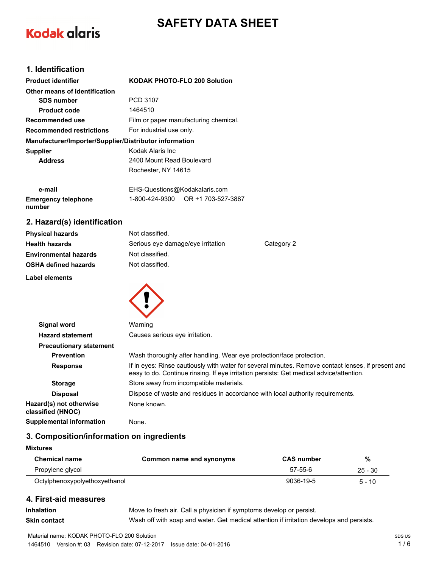# **SAFETY DATA SHEET**

# **Kodak alaris**

# **1. Identification**

| <b>Product identifier</b>                              | <b>KODAK PHOTO-FLO 200 Solution</b>   |  |
|--------------------------------------------------------|---------------------------------------|--|
| Other means of identification                          |                                       |  |
| <b>SDS number</b>                                      | PCD 3107                              |  |
| <b>Product code</b>                                    | 1464510                               |  |
| Recommended use                                        | Film or paper manufacturing chemical. |  |
| <b>Recommended restrictions</b>                        | For industrial use only.              |  |
| Manufacturer/Importer/Supplier/Distributor information |                                       |  |
| <b>Supplier</b>                                        | Kodak Alaris Inc                      |  |
| <b>Address</b>                                         | 2400 Mount Read Boulevard             |  |
|                                                        | Rochester, NY 14615                   |  |
|                                                        |                                       |  |

| e-mail                     | EHS-Questions@Kodakalaris.com |                    |
|----------------------------|-------------------------------|--------------------|
| <b>Emergency telephone</b> | 1-800-424-9300                | OR +1 703-527-3887 |
| number                     |                               |                    |

# **2. Hazard(s) identification**

| <b>Physical hazards</b>      | Not classified.                   |            |
|------------------------------|-----------------------------------|------------|
| <b>Health hazards</b>        | Serious eye damage/eye irritation | Category 2 |
| <b>Environmental hazards</b> | Not classified.                   |            |
| <b>OSHA defined hazards</b>  | Not classified.                   |            |
| المشامر ومرواتها والمسامرات  |                                   |            |

 $\blacktriangle$ 

**Label elements**

| <b>Signal word</b>                           | Warning                                                                                                                                                                                       |
|----------------------------------------------|-----------------------------------------------------------------------------------------------------------------------------------------------------------------------------------------------|
| <b>Hazard statement</b>                      | Causes serious eye irritation.                                                                                                                                                                |
| <b>Precautionary statement</b>               |                                                                                                                                                                                               |
| <b>Prevention</b>                            | Wash thoroughly after handling. Wear eye protection/face protection.                                                                                                                          |
| <b>Response</b>                              | If in eyes: Rinse cautiously with water for several minutes. Remove contact lenses, if present and<br>easy to do. Continue rinsing. If eye irritation persists: Get medical advice/attention. |
| <b>Storage</b>                               | Store away from incompatible materials.                                                                                                                                                       |
| <b>Disposal</b>                              | Dispose of waste and residues in accordance with local authority requirements.                                                                                                                |
| Hazard(s) not otherwise<br>classified (HNOC) | None known.                                                                                                                                                                                   |
| <b>Supplemental information</b>              | None.                                                                                                                                                                                         |
|                                              |                                                                                                                                                                                               |

# **3. Composition/information on ingredients**

## **Mixtures**

| <b>Chemical name</b>          | Common name and synonyms | <b>CAS number</b> | %         |
|-------------------------------|--------------------------|-------------------|-----------|
| Propylene glycol              |                          | 57-55-6           | $25 - 30$ |
| Octylphenoxypolyethoxyethanol |                          | 9036-19-5         | $5 - 10$  |

# **4. First-aid measures**

**Inhalation** Move to fresh air. Call a physician if symptoms develop or persist.

**Skin contact** Wash off with soap and water. Get medical attention if irritation develops and persists.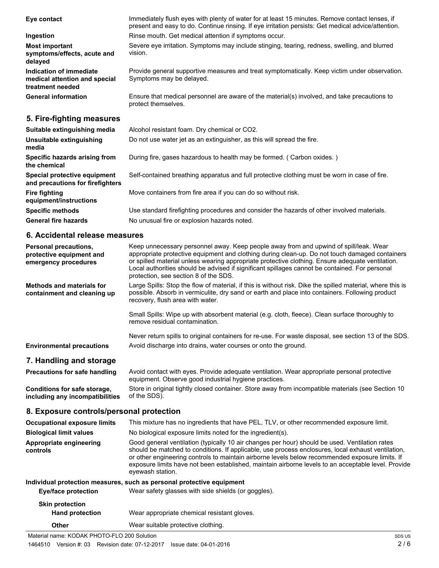| Eye contact                                                                  | Immediately flush eyes with plenty of water for at least 15 minutes. Remove contact lenses, if<br>present and easy to do. Continue rinsing. If eye irritation persists: Get medical advice/attention. |
|------------------------------------------------------------------------------|-------------------------------------------------------------------------------------------------------------------------------------------------------------------------------------------------------|
| Ingestion                                                                    | Rinse mouth. Get medical attention if symptoms occur.                                                                                                                                                 |
| <b>Most important</b><br>symptoms/effects, acute and<br>delayed              | Severe eye irritation. Symptoms may include stinging, tearing, redness, swelling, and blurred<br>vision.                                                                                              |
| Indication of immediate<br>medical attention and special<br>treatment needed | Provide general supportive measures and treat symptomatically. Keep victim under observation.<br>Symptoms may be delayed.                                                                             |
| <b>General information</b>                                                   | Ensure that medical personnel are aware of the material(s) involved, and take precautions to<br>protect themselves.                                                                                   |
| 5. Fire-fighting measures                                                    |                                                                                                                                                                                                       |
| Suitable extinguishing media                                                 | Alcohol resistant foam. Dry chemical or CO2.                                                                                                                                                          |
| Unsuitable extinguishing<br>media                                            | Do not use water jet as an extinguisher, as this will spread the fire.                                                                                                                                |
| Specific hazards arising from<br>the chemical                                | During fire, gases hazardous to health may be formed. (Carbon oxides.)                                                                                                                                |
| Special protective equipment<br>and precautions for firefighters             | Self-contained breathing apparatus and full protective clothing must be worn in case of fire.                                                                                                         |
| <b>Fire fighting</b><br>equipment/instructions                               | Move containers from fire area if you can do so without risk.                                                                                                                                         |
| <b>Specific methods</b>                                                      | Use standard firefighting procedures and consider the hazards of other involved materials.                                                                                                            |

General fire hazards **No unusual fire or explosion hazards noted.** 

## **6. Accidental release measures**

| Personal precautions,<br>protective equipment and<br>emergency procedures | Keep unnecessary personnel away. Keep people away from and upwind of spill/leak. Wear<br>appropriate protective equipment and clothing during clean-up. Do not touch damaged containers<br>or spilled material unless wearing appropriate protective clothing. Ensure adequate ventilation.<br>Local authorities should be advised if significant spillages cannot be contained. For personal<br>protection, see section 8 of the SDS. |
|---------------------------------------------------------------------------|----------------------------------------------------------------------------------------------------------------------------------------------------------------------------------------------------------------------------------------------------------------------------------------------------------------------------------------------------------------------------------------------------------------------------------------|
| <b>Methods and materials for</b><br>containment and cleaning up           | Large Spills: Stop the flow of material, if this is without risk. Dike the spilled material, where this is<br>possible. Absorb in vermiculite, dry sand or earth and place into containers. Following product<br>recovery, flush area with water.                                                                                                                                                                                      |
|                                                                           | Small Spills: Wipe up with absorbent material (e.g. cloth, fleece). Clean surface thoroughly to<br>remove residual contamination.                                                                                                                                                                                                                                                                                                      |
| <b>Environmental precautions</b>                                          | Never return spills to original containers for re-use. For waste disposal, see section 13 of the SDS.<br>Avoid discharge into drains, water courses or onto the ground.                                                                                                                                                                                                                                                                |
| 7. Handling and storage                                                   |                                                                                                                                                                                                                                                                                                                                                                                                                                        |
| Precautions for safe handling                                             | Avoid contact with eyes. Provide adequate ventilation. Wear appropriate personal protective<br>equipment. Observe good industrial hygiene practices.                                                                                                                                                                                                                                                                                   |
| Conditions for safe storage,<br>including any incompatibilities           | Store in original tightly closed container. Store away from incompatible materials (see Section 10<br>of the SDS).                                                                                                                                                                                                                                                                                                                     |

# **8. Exposure controls/personal protection**

| <b>Occupational exposure limits</b> | This mixture has no ingredients that have PEL, TLV, or other recommended exposure limit.                                                                                                                                                                                                                                                                                                                                           |
|-------------------------------------|------------------------------------------------------------------------------------------------------------------------------------------------------------------------------------------------------------------------------------------------------------------------------------------------------------------------------------------------------------------------------------------------------------------------------------|
| <b>Biological limit values</b>      | No biological exposure limits noted for the ingredient(s).                                                                                                                                                                                                                                                                                                                                                                         |
| Appropriate engineering<br>controls | Good general ventilation (typically 10 air changes per hour) should be used. Ventilation rates<br>should be matched to conditions. If applicable, use process enclosures, local exhaust ventilation,<br>or other engineering controls to maintain airborne levels below recommended exposure limits. If<br>exposure limits have not been established, maintain airborne levels to an acceptable level. Provide<br>eyewash station. |
|                                     | Individual protection measures, such as personal protective equipment                                                                                                                                                                                                                                                                                                                                                              |
| Eye/face protection                 | Wear safety glasses with side shields (or goggles).                                                                                                                                                                                                                                                                                                                                                                                |
| <b>Skin protection</b>              |                                                                                                                                                                                                                                                                                                                                                                                                                                    |
| <b>Hand protection</b>              | Wear appropriate chemical resistant gloves.                                                                                                                                                                                                                                                                                                                                                                                        |
| Other                               | Wear suitable protective clothing.                                                                                                                                                                                                                                                                                                                                                                                                 |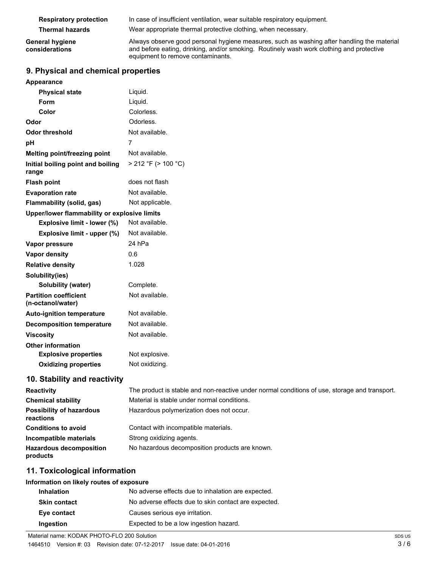| <b>Respiratory protection</b>            | In case of insufficient ventilation, wear suitable respiratory equipment.                                                                                                                                                   |
|------------------------------------------|-----------------------------------------------------------------------------------------------------------------------------------------------------------------------------------------------------------------------------|
| <b>Thermal hazards</b>                   | Wear appropriate thermal protective clothing, when necessary.                                                                                                                                                               |
| <b>General hygiene</b><br>considerations | Always observe good personal hygiene measures, such as washing after handling the material<br>and before eating, drinking, and/or smoking. Routinely wash work clothing and protective<br>equipment to remove contaminants. |

# **9. Physical and chemical properties**

| Appearance |  |
|------------|--|
|------------|--|

| <b>Physical state</b>                             | Liquid.                  |
|---------------------------------------------------|--------------------------|
| Form                                              | Liquid.                  |
| Color                                             | Colorless.               |
| Odor                                              | Odorless.                |
| Odor threshold                                    | Not available.           |
| рH                                                | 7                        |
| Melting point/freezing point                      | Not available.           |
| Initial boiling point and boiling<br>range        | $>$ 212 °F ( $>$ 100 °C) |
| <b>Flash point</b>                                | does not flash           |
| <b>Evaporation rate</b>                           | Not available.           |
| <b>Flammability (solid, gas)</b>                  | Not applicable.          |
| Upper/lower flammability or explosive limits      |                          |
| Explosive limit - lower (%)                       | Not available.           |
| Explosive limit - upper (%)                       | Not available.           |
| Vapor pressure                                    | 24 hPa                   |
| <b>Vapor density</b>                              | 0.6                      |
| <b>Relative density</b>                           | 1.028                    |
| Solubility(ies)                                   |                          |
| <b>Solubility (water)</b>                         | Complete.                |
| <b>Partition coefficient</b><br>(n-octanol/water) | Not available.           |
| <b>Auto-ignition temperature</b>                  | Not available.           |
| <b>Decomposition temperature</b>                  | Not available.           |
| <b>Viscosity</b>                                  | Not available.           |
| <b>Other information</b>                          |                          |
| <b>Explosive properties</b>                       | Not explosive.           |
| <b>Oxidizing properties</b>                       | Not oxidizing.           |
|                                                   |                          |

# **10. Stability and reactivity**

| <b>Reactivity</b>                            | The product is stable and non-reactive under normal conditions of use, storage and transport. |
|----------------------------------------------|-----------------------------------------------------------------------------------------------|
| <b>Chemical stability</b>                    | Material is stable under normal conditions.                                                   |
| <b>Possibility of hazardous</b><br>reactions | Hazardous polymerization does not occur.                                                      |
| <b>Conditions to avoid</b>                   | Contact with incompatible materials.                                                          |
| Incompatible materials                       | Strong oxidizing agents.                                                                      |
| <b>Hazardous decomposition</b><br>products   | No hazardous decomposition products are known.                                                |

# **11. Toxicological information**

# **Information on likely routes of exposure**

| <b>Inhalation</b>   | No adverse effects due to inhalation are expected.   |
|---------------------|------------------------------------------------------|
| <b>Skin contact</b> | No adverse effects due to skin contact are expected. |
| Eye contact         | Causes serious eye irritation.                       |
| Ingestion           | Expected to be a low ingestion hazard.               |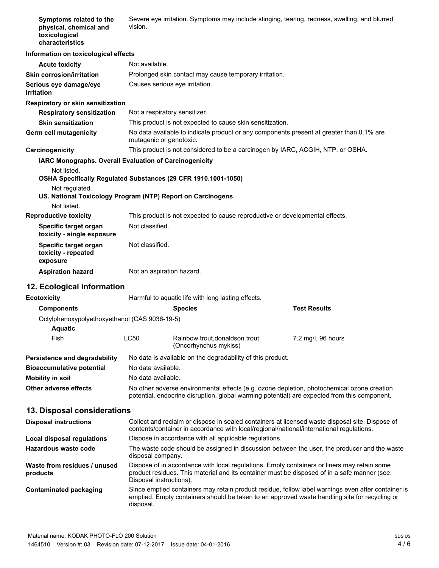| Symptoms related to the<br>physical, chemical and<br>toxicological<br>characteristics                                                                                                                                                   | Severe eye irritation. Symptoms may include stinging, tearing, redness, swelling, and blurred<br>vision.                                                                                                               |                                                                                 |                                                                                                                                                                                                     |
|-----------------------------------------------------------------------------------------------------------------------------------------------------------------------------------------------------------------------------------------|------------------------------------------------------------------------------------------------------------------------------------------------------------------------------------------------------------------------|---------------------------------------------------------------------------------|-----------------------------------------------------------------------------------------------------------------------------------------------------------------------------------------------------|
| Information on toxicological effects                                                                                                                                                                                                    |                                                                                                                                                                                                                        |                                                                                 |                                                                                                                                                                                                     |
| <b>Acute toxicity</b>                                                                                                                                                                                                                   | Not available.                                                                                                                                                                                                         |                                                                                 |                                                                                                                                                                                                     |
| <b>Skin corrosion/irritation</b>                                                                                                                                                                                                        |                                                                                                                                                                                                                        | Prolonged skin contact may cause temporary irritation.                          |                                                                                                                                                                                                     |
| Serious eye damage/eye<br>irritation                                                                                                                                                                                                    | Causes serious eye irritation.                                                                                                                                                                                         |                                                                                 |                                                                                                                                                                                                     |
| Respiratory or skin sensitization                                                                                                                                                                                                       |                                                                                                                                                                                                                        |                                                                                 |                                                                                                                                                                                                     |
| <b>Respiratory sensitization</b>                                                                                                                                                                                                        | Not a respiratory sensitizer.                                                                                                                                                                                          |                                                                                 |                                                                                                                                                                                                     |
| <b>Skin sensitization</b>                                                                                                                                                                                                               |                                                                                                                                                                                                                        | This product is not expected to cause skin sensitization.                       |                                                                                                                                                                                                     |
| Germ cell mutagenicity                                                                                                                                                                                                                  | No data available to indicate product or any components present at greater than 0.1% are<br>mutagenic or genotoxic.                                                                                                    |                                                                                 |                                                                                                                                                                                                     |
| Carcinogenicity                                                                                                                                                                                                                         |                                                                                                                                                                                                                        | This product is not considered to be a carcinogen by IARC, ACGIH, NTP, or OSHA. |                                                                                                                                                                                                     |
| IARC Monographs. Overall Evaluation of Carcinogenicity<br>Not listed.<br>OSHA Specifically Regulated Substances (29 CFR 1910.1001-1050)<br>Not regulated.<br>US. National Toxicology Program (NTP) Report on Carcinogens<br>Not listed. |                                                                                                                                                                                                                        |                                                                                 |                                                                                                                                                                                                     |
| <b>Reproductive toxicity</b>                                                                                                                                                                                                            |                                                                                                                                                                                                                        | This product is not expected to cause reproductive or developmental effects.    |                                                                                                                                                                                                     |
| Specific target organ<br>toxicity - single exposure                                                                                                                                                                                     | Not classified.                                                                                                                                                                                                        |                                                                                 |                                                                                                                                                                                                     |
| Specific target organ<br>toxicity - repeated<br>exposure                                                                                                                                                                                | Not classified.                                                                                                                                                                                                        |                                                                                 |                                                                                                                                                                                                     |
| <b>Aspiration hazard</b>                                                                                                                                                                                                                | Not an aspiration hazard.                                                                                                                                                                                              |                                                                                 |                                                                                                                                                                                                     |
| 12. Ecological information                                                                                                                                                                                                              |                                                                                                                                                                                                                        |                                                                                 |                                                                                                                                                                                                     |
| <b>Ecotoxicity</b>                                                                                                                                                                                                                      |                                                                                                                                                                                                                        | Harmful to aquatic life with long lasting effects.                              |                                                                                                                                                                                                     |
| <b>Components</b>                                                                                                                                                                                                                       |                                                                                                                                                                                                                        | <b>Species</b>                                                                  | <b>Test Results</b>                                                                                                                                                                                 |
| Octylphenoxypolyethoxyethanol (CAS 9036-19-5)                                                                                                                                                                                           |                                                                                                                                                                                                                        |                                                                                 |                                                                                                                                                                                                     |
| <b>Aquatic</b>                                                                                                                                                                                                                          |                                                                                                                                                                                                                        |                                                                                 |                                                                                                                                                                                                     |
| Fish                                                                                                                                                                                                                                    | LC50                                                                                                                                                                                                                   | Rainbow trout, donaldson trout<br>(Oncorhynchus mykiss)                         | 7.2 mg/l, 96 hours                                                                                                                                                                                  |
| Persistence and degradability                                                                                                                                                                                                           |                                                                                                                                                                                                                        | No data is available on the degradability of this product.                      |                                                                                                                                                                                                     |
| <b>Bioaccumulative potential</b>                                                                                                                                                                                                        | No data available.                                                                                                                                                                                                     |                                                                                 |                                                                                                                                                                                                     |
| <b>Mobility in soil</b>                                                                                                                                                                                                                 | No data available.                                                                                                                                                                                                     |                                                                                 |                                                                                                                                                                                                     |
| Other adverse effects                                                                                                                                                                                                                   |                                                                                                                                                                                                                        |                                                                                 | No other adverse environmental effects (e.g. ozone depletion, photochemical ozone creation<br>potential, endocrine disruption, global warming potential) are expected from this component.          |
| 13. Disposal considerations                                                                                                                                                                                                             |                                                                                                                                                                                                                        |                                                                                 |                                                                                                                                                                                                     |
| <b>Disposal instructions</b>                                                                                                                                                                                                            | Collect and reclaim or dispose in sealed containers at licensed waste disposal site. Dispose of<br>contents/container in accordance with local/regional/national/international regulations.                            |                                                                                 |                                                                                                                                                                                                     |
| Local disposal regulations                                                                                                                                                                                                              |                                                                                                                                                                                                                        | Dispose in accordance with all applicable regulations.                          |                                                                                                                                                                                                     |
| Hazardous waste code                                                                                                                                                                                                                    | The waste code should be assigned in discussion between the user, the producer and the waste<br>disposal company.                                                                                                      |                                                                                 |                                                                                                                                                                                                     |
| Waste from residues / unused<br>products                                                                                                                                                                                                | Dispose of in accordance with local regulations. Empty containers or liners may retain some<br>product residues. This material and its container must be disposed of in a safe manner (see:<br>Disposal instructions). |                                                                                 |                                                                                                                                                                                                     |
| <b>Contaminated packaging</b>                                                                                                                                                                                                           | disposal.                                                                                                                                                                                                              |                                                                                 | Since emptied containers may retain product residue, follow label warnings even after container is<br>emptied. Empty containers should be taken to an approved waste handling site for recycling or |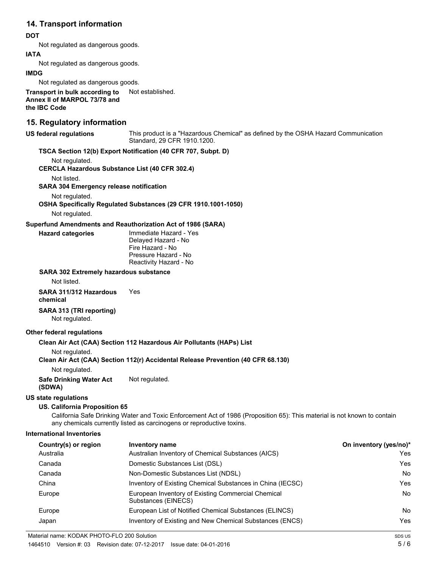# **14. Transport information**

## **DOT**

Not regulated as dangerous goods.

## **IATA**

Not regulated as dangerous goods.

#### **IMDG**

Not regulated as dangerous goods.

**Transport in bulk according to** Not established. **Annex II of MARPOL 73/78 and the IBC Code**

## **15. Regulatory information**

This product is a "Hazardous Chemical" as defined by the OSHA Hazard Communication Standard, 29 CFR 1910.1200. **US federal regulations**

## **TSCA Section 12(b) Export Notification (40 CFR 707, Subpt. D)**

Not regulated.

**CERCLA Hazardous Substance List (40 CFR 302.4)**

Not listed.

**SARA 304 Emergency release notification**

Not regulated.

#### **OSHA Specifically Regulated Substances (29 CFR 1910.1001-1050)**

Not regulated.

#### **Superfund Amendments and Reauthorization Act of 1986 (SARA)**

**Hazard categories**

Immediate Hazard - Yes Delayed Hazard - No Fire Hazard - No Pressure Hazard - No Reactivity Hazard - No

#### **SARA 302 Extremely hazardous substance**

Not listed.

#### **SARA 311/312 Hazardous** Yes **chemical**

# **SARA 313 (TRI reporting)**

Not regulated.

## **Other federal regulations**

## **Clean Air Act (CAA) Section 112 Hazardous Air Pollutants (HAPs) List**

Not regulated.

#### **Clean Air Act (CAA) Section 112(r) Accidental Release Prevention (40 CFR 68.130)**

Not regulated.

**Safe Drinking Water Act** Not regulated.

# **(SDWA)**

## **US state regulations**

#### **US. California Proposition 65**

California Safe Drinking Water and Toxic Enforcement Act of 1986 (Proposition 65): This material is not known to contain any chemicals currently listed as carcinogens or reproductive toxins.

## **International Inventories**

| Country(s) or region | Inventory name                                                            | On inventory (yes/no)* |
|----------------------|---------------------------------------------------------------------------|------------------------|
| Australia            | Australian Inventory of Chemical Substances (AICS)                        | Yes                    |
| Canada               | Domestic Substances List (DSL)                                            | Yes                    |
| Canada               | Non-Domestic Substances List (NDSL)                                       | <b>No</b>              |
| China                | Inventory of Existing Chemical Substances in China (IECSC)                | Yes                    |
| Europe               | European Inventory of Existing Commercial Chemical<br>Substances (EINECS) | <b>No</b>              |
| Europe               | European List of Notified Chemical Substances (ELINCS)                    | <b>No</b>              |
| Japan                | Inventory of Existing and New Chemical Substances (ENCS)                  | Yes                    |